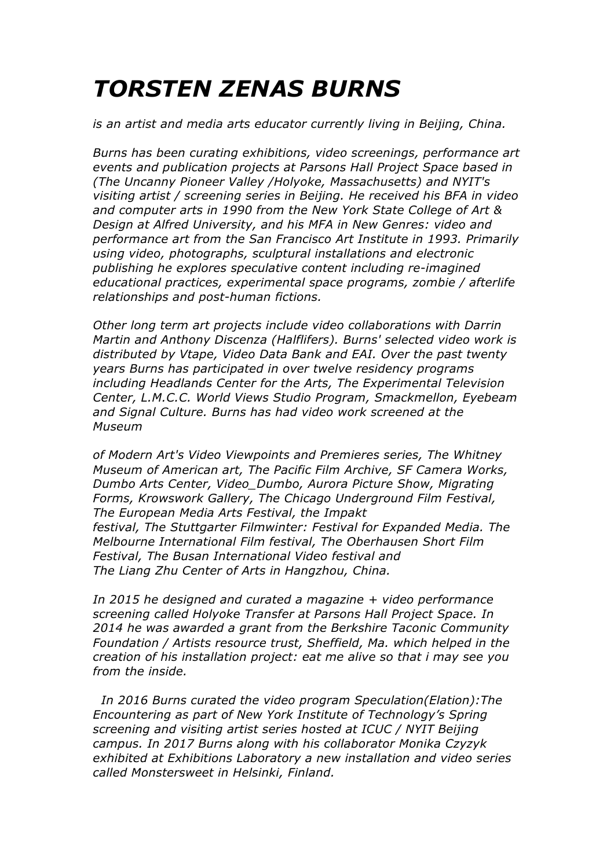## *TORSTEN ZENAS BURNS*

*is an artist and media arts educator currently living in Beijing, China.*

*Burns has been curating exhibitions, video screenings, performance art events and publication projects at Parsons Hall Project Space based in (The Uncanny Pioneer Valley /Holyoke, Massachusetts) and NYIT's visiting artist / screening series in Beijing. He received his BFA in video and computer arts in 1990 from the New York State College of Art & Design at Alfred University, and his MFA in New Genres: video and performance art from the San Francisco Art Institute in 1993. Primarily using video, photographs, sculptural installations and electronic publishing he explores speculative content including re-imagined educational practices, experimental space programs, zombie / afterlife relationships and post-human fictions.*

*Other long term art projects include video collaborations with Darrin Martin and Anthony Discenza (Halflifers). Burns' selected video work is distributed by Vtape, Video Data Bank and EAI. Over the past twenty years Burns has participated in over twelve residency programs including Headlands Center for the Arts, The Experimental Television Center, L.M.C.C. World Views Studio Program, Smackmellon, Eyebeam and Signal Culture. Burns has had video work screened at the Museum*

*of Modern Art's Video Viewpoints and Premieres series, The Whitney Museum of American art, The Pacific Film Archive, SF Camera Works, Dumbo Arts Center, Video\_Dumbo, Aurora Picture Show, Migrating Forms, Krowswork Gallery, The Chicago Underground Film Festival, The European Media Arts Festival, the Impakt festival, The Stuttgarter Filmwinter: Festival for Expanded Media. The Melbourne International Film festival, The Oberhausen Short Film Festival, The Busan International Video festival and The Liang Zhu Center of Arts in Hangzhou, China.*

*In 2015 he designed and curated a magazine + video performance screening called Holyoke Transfer at Parsons Hall Project Space. In 2014 he was awarded a grant from the Berkshire Taconic Community Foundation / Artists resource trust, Sheffield, Ma. which helped in the creation of his installation project: eat me alive so that i may see you from the inside.*

*In 2016 Burns curated the video program Speculation(Elation):The Encountering as part of New York Institute of Technology's Spring screening and visiting artist series hosted at ICUC / NYIT Beijing campus. In 2017 Burns along with his collaborator Monika Czyzyk exhibited at Exhibitions Laboratory a new installation and video series called Monstersweet in Helsinki, Finland.*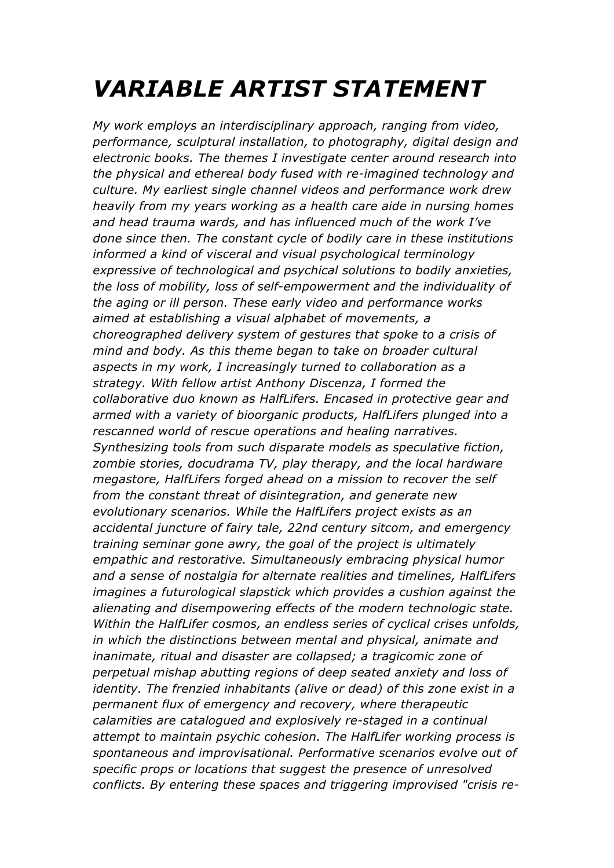## *VARIABLE ARTIST STATEMENT*

*My work employs an interdisciplinary approach, ranging from video, performance, sculptural installation, to photography, digital design and electronic books. The themes I investigate center around research into the physical and ethereal body fused with re-imagined technology and culture. My earliest single channel videos and performance work drew heavily from my years working as a health care aide in nursing homes and head trauma wards, and has influenced much of the work I've done since then. The constant cycle of bodily care in these institutions informed a kind of visceral and visual psychological terminology expressive of technological and psychical solutions to bodily anxieties, the loss of mobility, loss of self-empowerment and the individuality of the aging or ill person. These early video and performance works aimed at establishing a visual alphabet of movements, a choreographed delivery system of gestures that spoke to a crisis of mind and body. As this theme began to take on broader cultural aspects in my work, I increasingly turned to collaboration as a strategy. With fellow artist Anthony Discenza, I formed the collaborative duo known as HalfLifers. Encased in protective gear and armed with a variety of bioorganic products, HalfLifers plunged into a rescanned world of rescue operations and healing narratives. Synthesizing tools from such disparate models as speculative fiction, zombie stories, docudrama TV, play therapy, and the local hardware megastore, HalfLifers forged ahead on a mission to recover the self from the constant threat of disintegration, and generate new evolutionary scenarios. While the HalfLifers project exists as an accidental juncture of fairy tale, 22nd century sitcom, and emergency training seminar gone awry, the goal of the project is ultimately empathic and restorative. Simultaneously embracing physical humor and a sense of nostalgia for alternate realities and timelines, HalfLifers imagines a futurological slapstick which provides a cushion against the alienating and disempowering effects of the modern technologic state. Within the HalfLifer cosmos, an endless series of cyclical crises unfolds, in which the distinctions between mental and physical, animate and inanimate, ritual and disaster are collapsed; a tragicomic zone of perpetual mishap abutting regions of deep seated anxiety and loss of identity. The frenzied inhabitants (alive or dead) of this zone exist in a permanent flux of emergency and recovery, where therapeutic calamities are catalogued and explosively re-staged in a continual attempt to maintain psychic cohesion. The HalfLifer working process is spontaneous and improvisational. Performative scenarios evolve out of specific props or locations that suggest the presence of unresolved conflicts. By entering these spaces and triggering improvised "crisis re-*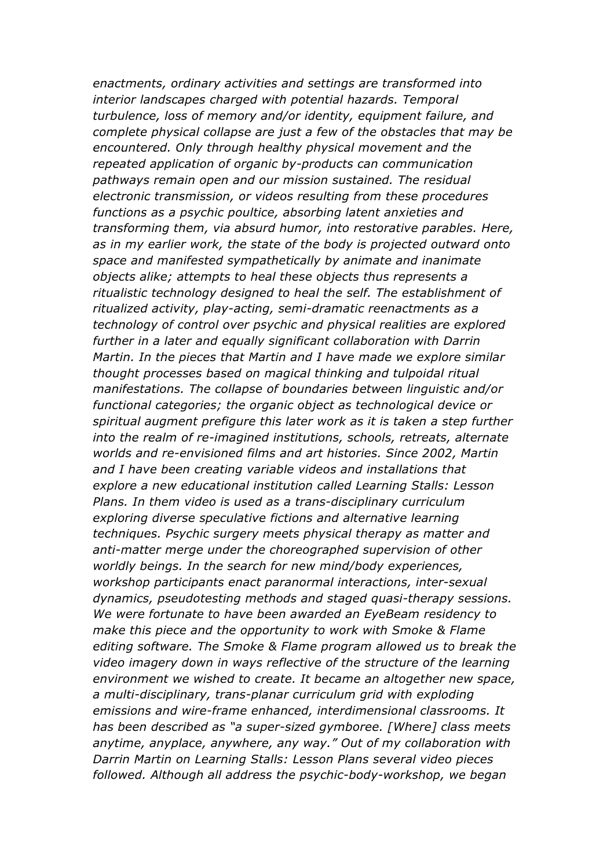*enactments, ordinary activities and settings are transformed into interior landscapes charged with potential hazards. Temporal turbulence, loss of memory and/or identity, equipment failure, and complete physical collapse are just a few of the obstacles that may be encountered. Only through healthy physical movement and the repeated application of organic by-products can communication pathways remain open and our mission sustained. The residual electronic transmission, or videos resulting from these procedures functions as a psychic poultice, absorbing latent anxieties and transforming them, via absurd humor, into restorative parables. Here, as in my earlier work, the state of the body is projected outward onto space and manifested sympathetically by animate and inanimate objects alike; attempts to heal these objects thus represents a ritualistic technology designed to heal the self. The establishment of ritualized activity, play-acting, semi-dramatic reenactments as a technology of control over psychic and physical realities are explored further in a later and equally significant collaboration with Darrin Martin. In the pieces that Martin and I have made we explore similar thought processes based on magical thinking and tulpoidal ritual manifestations. The collapse of boundaries between linguistic and/or functional categories; the organic object as technological device or spiritual augment prefigure this later work as it is taken a step further into the realm of re-imagined institutions, schools, retreats, alternate worlds and re-envisioned films and art histories. Since 2002, Martin and I have been creating variable videos and installations that explore a new educational institution called Learning Stalls: Lesson Plans. In them video is used as a trans-disciplinary curriculum exploring diverse speculative fictions and alternative learning techniques. Psychic surgery meets physical therapy as matter and anti-matter merge under the choreographed supervision of other worldly beings. In the search for new mind/body experiences, workshop participants enact paranormal interactions, inter-sexual dynamics, pseudotesting methods and staged quasi-therapy sessions. We were fortunate to have been awarded an EyeBeam residency to make this piece and the opportunity to work with Smoke & Flame editing software. The Smoke & Flame program allowed us to break the video imagery down in ways reflective of the structure of the learning environment we wished to create. It became an altogether new space, a multi-disciplinary, trans-planar curriculum grid with exploding emissions and wire-frame enhanced, interdimensional classrooms. It has been described as "a super-sized gymboree. [Where] class meets anytime, anyplace, anywhere, any way." Out of my collaboration with Darrin Martin on Learning Stalls: Lesson Plans several video pieces followed. Although all address the psychic-body-workshop, we began*